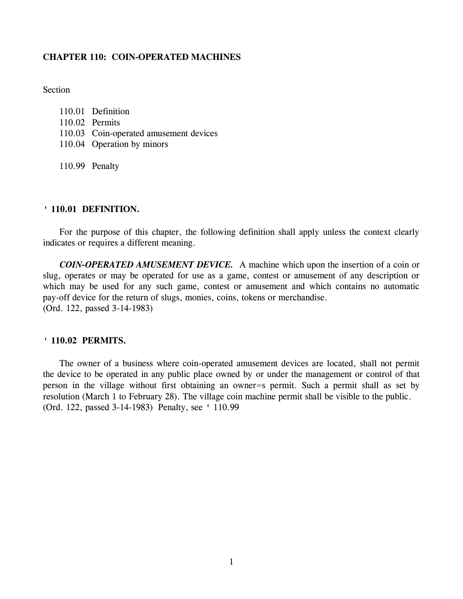# **CHAPTER 110: COIN-OPERATED MACHINES**

**Section** 

| 110.01 Definition                      |
|----------------------------------------|
| 110.02 Permits                         |
| 110.03 Coin-operated amusement devices |
| 110.04 Operation by minors             |
|                                        |

110.99 Penalty

### **' 110.01 DEFINITION.**

For the purpose of this chapter, the following definition shall apply unless the context clearly indicates or requires a different meaning.

*COIN-OPERATED AMUSEMENT DEVICE.* A machine which upon the insertion of a coin or slug, operates or may be operated for use as a game, contest or amusement of any description or which may be used for any such game, contest or amusement and which contains no automatic pay-off device for the return of slugs, monies, coins, tokens or merchandise. (Ord. 122, passed 3-14-1983)

### **' 110.02 PERMITS.**

The owner of a business where coin-operated amusement devices are located, shall not permit the device to be operated in any public place owned by or under the management or control of that person in the village without first obtaining an owner=s permit. Such a permit shall as set by resolution (March 1 to February 28). The village coin machine permit shall be visible to the public. (Ord. 122, passed 3-14-1983) Penalty, see ' 110.99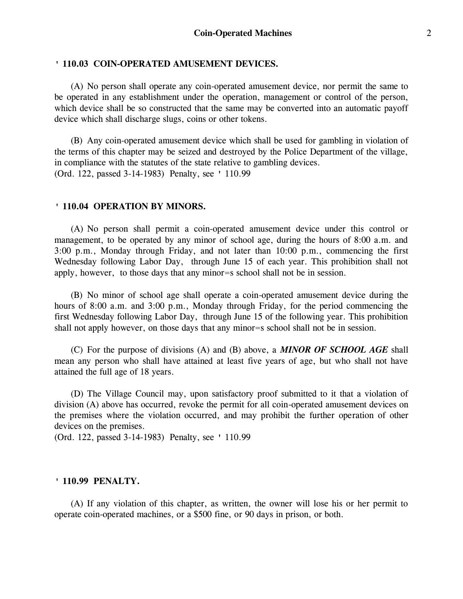# **' 110.03 COIN-OPERATED AMUSEMENT DEVICES.**

(A) No person shall operate any coin-operated amusement device, nor permit the same to be operated in any establishment under the operation, management or control of the person, which device shall be so constructed that the same may be converted into an automatic payoff device which shall discharge slugs, coins or other tokens.

(B) Any coin-operated amusement device which shall be used for gambling in violation of the terms of this chapter may be seized and destroyed by the Police Department of the village, in compliance with the statutes of the state relative to gambling devices. (Ord. 122, passed 3-14-1983) Penalty, see ' 110.99

### **' 110.04 OPERATION BY MINORS.**

(A) No person shall permit a coin-operated amusement device under this control or management, to be operated by any minor of school age, during the hours of 8:00 a.m. and 3:00 p.m., Monday through Friday, and not later than 10:00 p.m., commencing the first Wednesday following Labor Day, through June 15 of each year. This prohibition shall not apply, however, to those days that any minor=s school shall not be in session.

(B) No minor of school age shall operate a coin-operated amusement device during the hours of 8:00 a.m. and 3:00 p.m., Monday through Friday, for the period commencing the first Wednesday following Labor Day, through June 15 of the following year. This prohibition shall not apply however, on those days that any minor=s school shall not be in session.

(C) For the purpose of divisions (A) and (B) above, a *MINOR OF SCHOOL AGE* shall mean any person who shall have attained at least five years of age, but who shall not have attained the full age of 18 years.

(D) The Village Council may, upon satisfactory proof submitted to it that a violation of division (A) above has occurred, revoke the permit for all coin-operated amusement devices on the premises where the violation occurred, and may prohibit the further operation of other devices on the premises.

(Ord. 122, passed 3-14-1983) Penalty, see ' 110.99

### **' 110.99 PENALTY.**

(A) If any violation of this chapter, as written, the owner will lose his or her permit to operate coin-operated machines, or a \$500 fine, or 90 days in prison, or both.